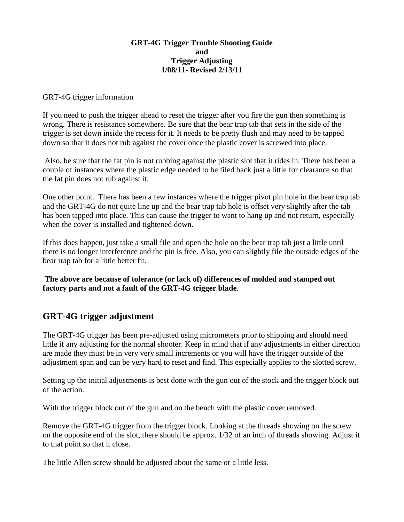## **GRT-4G Trigger Trouble Shooting Guide and Trigger Adjusting 1/08/11- Revised 2/13/11**

### GRT-4G trigger information

If you need to push the trigger ahead to reset the trigger after you fire the gun then something is wrong. There is resistance somewhere. Be sure that the bear trap tab that sets in the side of the trigger is set down inside the recess for it. It needs to be pretty flush and may need to be tapped down so that it does not rub against the cover once the plastic cover is screwed into place.

 Also, be sure that the fat pin is not rubbing against the plastic slot that it rides in. There has been a couple of instances where the plastic edge needed to be filed back just a little for clearance so that the fat pin does not rub against it.

One other point. There has been a few instances where the trigger pivot pin hole in the bear trap tab and the GRT-4G do not quite line up and the bear trap tab hole is offset very slightly after the tab has been tapped into place. This can cause the trigger to want to hang up and not return, especially when the cover is installed and tightened down.

If this does happen, just take a small file and open the hole on the bear trap tab just a little until there is no longer interference and the pin is free. Also, you can slightly file the outside edges of the bear trap tab for a little better fit.

**The above are because of tolerance (or lack of) differences of molded and stamped out factory parts and not a fault of the GRT-4G trigger blade**.

# **GRT-4G trigger adjustment**

The GRT-4G trigger has been pre-adjusted using micrometers prior to shipping and should need little if any adjusting for the normal shooter. Keep in mind that if any adjustments in either direction are made they must be in very very small increments or you will have the trigger outside of the adjustment span and can be very hard to reset and find. This especially applies to the slotted screw.

Setting up the initial adjustments is best done with the gun out of the stock and the trigger block out of the action.

With the trigger block out of the gun and on the bench with the plastic cover removed.

Remove the GRT-4G trigger from the trigger block. Looking at the threads showing on the screw on the opposite end of the slot, there should be approx. 1/32 of an inch of threads showing. Adjust it to that point so that it close.

The little Allen screw should be adjusted about the same or a little less.